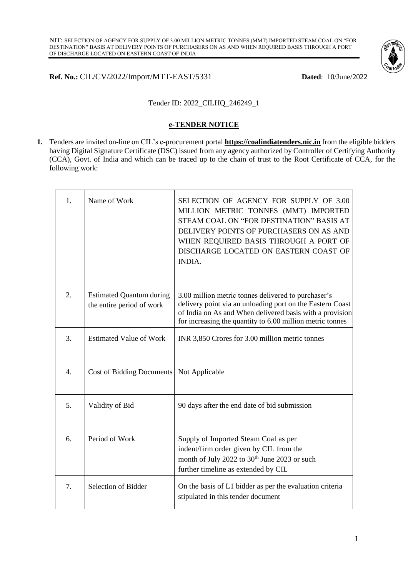

### **Ref. No.:** CIL/CV/2022/Import/MTT-EAST/5331 **Dated**: 10/June/2022

### Tender ID: 2022\_CILHQ\_246249\_1

#### **e-TENDER NOTICE**

**1.** Tenders are invited on-line on CIL's e-procurement portal **[https://coalindiatenders.nic.in](https://coalindiatenders.nic.in/)** from the eligible bidders having Digital Signature Certificate (DSC) issued from any agency authorized by Controller of Certifying Authority (CCA), Govt. of India and which can be traced up to the chain of trust to the Root Certificate of CCA, for the following work:

| 1. | Name of Work                                                 | SELECTION OF AGENCY FOR SUPPLY OF 3.00<br>MILLION METRIC TONNES (MMT) IMPORTED<br>STEAM COAL ON "FOR DESTINATION" BASIS AT<br>DELIVERY POINTS OF PURCHASERS ON AS AND<br>WHEN REQUIRED BASIS THROUGH A PORT OF<br>DISCHARGE LOCATED ON EASTERN COAST OF<br><b>INDIA.</b> |
|----|--------------------------------------------------------------|--------------------------------------------------------------------------------------------------------------------------------------------------------------------------------------------------------------------------------------------------------------------------|
| 2. | <b>Estimated Quantum during</b><br>the entire period of work | 3.00 million metric tonnes delivered to purchaser's<br>delivery point via an unloading port on the Eastern Coast<br>of India on As and When delivered basis with a provision<br>for increasing the quantity to 6.00 million metric tonnes                                |
| 3. | <b>Estimated Value of Work</b>                               | INR 3,850 Crores for 3.00 million metric tonnes                                                                                                                                                                                                                          |
| 4. | <b>Cost of Bidding Documents</b>                             | Not Applicable                                                                                                                                                                                                                                                           |
| 5. | Validity of Bid                                              | 90 days after the end date of bid submission                                                                                                                                                                                                                             |
| 6. | Period of Work                                               | Supply of Imported Steam Coal as per<br>indent/firm order given by CIL from the<br>month of July 2022 to 30 <sup>th</sup> June 2023 or such<br>further timeline as extended by CIL                                                                                       |
| 7. | Selection of Bidder                                          | On the basis of L1 bidder as per the evaluation criteria<br>stipulated in this tender document                                                                                                                                                                           |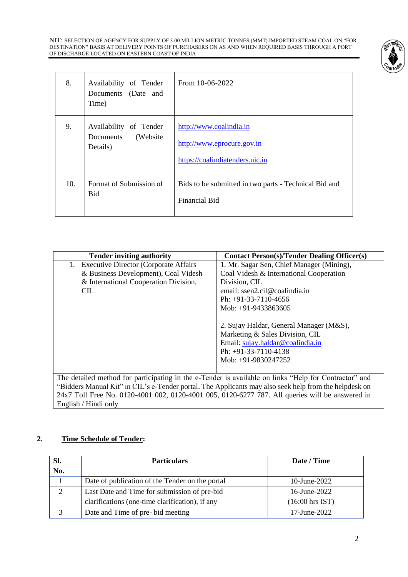NIT: SELECTION OF AGENCY FOR SUPPLY OF 3.00 MILLION METRIC TONNES (MMT) IMPORTED STEAM COAL ON "FOR DESTINATION" BASIS AT DELIVERY POINTS OF PURCHASERS ON AS AND WHEN REQUIRED BASIS THROUGH A PORT OF DISCHARGE LOCATED ON EASTERN COAST OF INDIA



| 8.  | Availability of Tender<br>Documents (Date and<br>Time)       | From 10-06-2022                                                                          |
|-----|--------------------------------------------------------------|------------------------------------------------------------------------------------------|
| 9.  | Availability of Tender<br>(Website)<br>Documents<br>Details) | http://www.coalindia.in<br>http://www.eprocure.gov.in<br>https://coalindiatenders.nic.in |
| 10. | Format of Submission of<br>Bid                               | Bids to be submitted in two parts - Technical Bid and<br><b>Financial Bid</b>            |

| <b>Tender inviting authority</b>                                                                      | <b>Contact Person(s)/Tender Dealing Officer(s)</b> |  |
|-------------------------------------------------------------------------------------------------------|----------------------------------------------------|--|
| <b>Executive Director (Corporate Affairs</b><br>1.                                                    | 1. Mr. Sagar Sen, Chief Manager (Mining),          |  |
| & Business Development), Coal Videsh                                                                  | Coal Videsh & International Cooperation            |  |
| & International Cooperation Division,                                                                 | Division, CIL                                      |  |
| CIL.                                                                                                  | email: ssen2.cil@coalindia.in                      |  |
|                                                                                                       | Ph: $+91-33-7110-4656$                             |  |
|                                                                                                       | Mob: +91-9433863605                                |  |
|                                                                                                       |                                                    |  |
|                                                                                                       | 2. Sujay Haldar, General Manager (M&S),            |  |
|                                                                                                       | Marketing & Sales Division, CIL                    |  |
|                                                                                                       | Email: sujay.haldar@coalindia.in                   |  |
|                                                                                                       | Ph: $+91-33-7110-4138$                             |  |
|                                                                                                       | Mob: $+91-9830247252$                              |  |
|                                                                                                       |                                                    |  |
| The detailed method for participating in the e-Tender is available on links "Help for Contractor" and |                                                    |  |
| "Bidders Manual Kit" in CIL's e-Tender portal. The Applicants may also seek help from the helpdesk on |                                                    |  |
| 24x7 Toll Free No. 0120-4001 002, 0120-4001 005, 0120-6277 787. All queries will be answered in       |                                                    |  |

English / Hindi only

# **2. Time Schedule of Tender:**

| Sl. | <b>Particulars</b>                              | Date / Time               |
|-----|-------------------------------------------------|---------------------------|
| No. |                                                 |                           |
|     | Date of publication of the Tender on the portal | 10-June-2022              |
| 2   | Last Date and Time for submission of pre-bid    | 16-June-2022              |
|     | clarifications (one-time clarification), if any | $(16:00 \text{ hrs IST})$ |
| 3   | Date and Time of pre-bid meeting                | 17-June-2022              |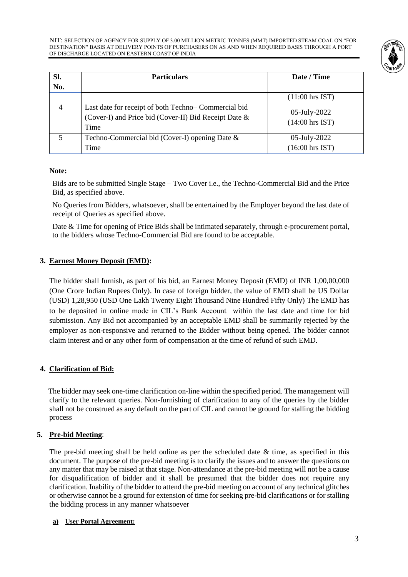

| SI.<br>No.     | <b>Particulars</b>                                                                                                   | Date / Time                               |
|----------------|----------------------------------------------------------------------------------------------------------------------|-------------------------------------------|
|                |                                                                                                                      | $(11:00$ hrs IST)                         |
| $\overline{4}$ | Last date for receipt of both Techno-Commercial bid<br>(Cover-I) and Price bid (Cover-II) Bid Receipt Date &<br>Time | 05-July-2022<br>$(14:00 \text{ hrs IST})$ |
| 5              | Techno-Commercial bid (Cover-I) opening Date $\&$<br>Time                                                            | 05-July-2022<br>$(16:00 \text{ hrs IST})$ |

#### **Note:**

Bids are to be submitted Single Stage – Two Cover i.e., the Techno-Commercial Bid and the Price Bid, as specified above.

No Queries from Bidders, whatsoever, shall be entertained by the Employer beyond the last date of receipt of Queries as specified above.

Date & Time for opening of Price Bids shall be intimated separately, through e-procurement portal, to the bidders whose Techno-Commercial Bid are found to be acceptable.

### **3. Earnest Money Deposit (EMD):**

The bidder shall furnish, as part of his bid, an Earnest Money Deposit (EMD) of INR 1,00,00,000 (One Crore Indian Rupees Only). In case of foreign bidder, the value of EMD shall be US Dollar (USD) 1,28,950 (USD One Lakh Twenty Eight Thousand Nine Hundred Fifty Only) The EMD has to be deposited in online mode in CIL's Bank Account within the last date and time for bid submission. Any Bid not accompanied by an acceptable EMD shall be summarily rejected by the employer as non-responsive and returned to the Bidder without being opened. The bidder cannot claim interest and or any other form of compensation at the time of refund of such EMD.

# **4. Clarification of Bid:**

 The bidder may seek one-time clarification on-line within the specified period. The management will clarify to the relevant queries. Non-furnishing of clarification to any of the queries by the bidder shall not be construed as any default on the part of CIL and cannot be ground for stalling the bidding process

#### **5. Pre-bid Meeting**:

The pre-bid meeting shall be held online as per the scheduled date  $\&$  time, as specified in this document. The purpose of the pre-bid meeting is to clarify the issues and to answer the questions on any matter that may be raised at that stage. Non-attendance at the pre-bid meeting will not be a cause for disqualification of bidder and it shall be presumed that the bidder does not require any clarification. Inability of the bidder to attend the pre-bid meeting on account of any technical glitches or otherwise cannot be a ground for extension of time for seeking pre-bid clarifications or for stalling the bidding process in any manner whatsoever

#### **a) User Portal Agreement:**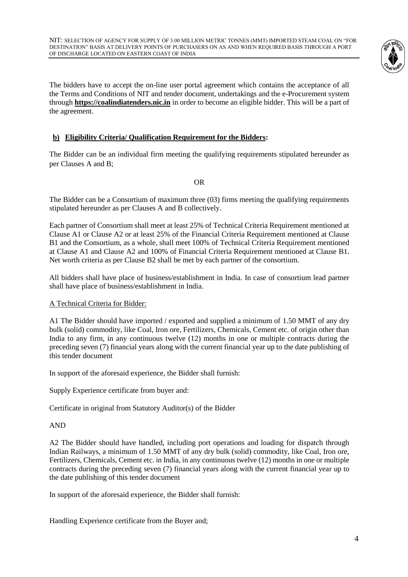

The bidders have to accept the on-line user portal agreement which contains the acceptance of all the Terms and Conditions of NIT and tender document, undertakings and the e-Procurement system through **[https://coalindiatenders.nic.in](https://coalindiatenders.nic.in/)** in order to become an eligible bidder. This will be a part of the agreement.

# **b) Eligibility Criteria/ Qualification Requirement for the Bidders:**

The Bidder can be an individual firm meeting the qualifying requirements stipulated hereunder as per Clauses A and B;

OR

The Bidder can be a Consortium of maximum three (03) firms meeting the qualifying requirements stipulated hereunder as per Clauses A and B collectively.

Each partner of Consortium shall meet at least 25% of Technical Criteria Requirement mentioned at Clause A1 or Clause A2 or at least 25% of the Financial Criteria Requirement mentioned at Clause B1 and the Consortium, as a whole, shall meet 100% of Technical Criteria Requirement mentioned at Clause A1 and Clause A2 and 100% of Financial Criteria Requirement mentioned at Clause B1. Net worth criteria as per Clause B2 shall be met by each partner of the consortium.

All bidders shall have place of business/establishment in India. In case of consortium lead partner shall have place of business/establishment in India.

#### A Technical Criteria for Bidder:

A1 The Bidder should have imported / exported and supplied a minimum of 1.50 MMT of any dry bulk (solid) commodity, like Coal, Iron ore, Fertilizers, Chemicals, Cement etc. of origin other than India to any firm, in any continuous twelve (12) months in one or multiple contracts during the preceding seven (7) financial years along with the current financial year up to the date publishing of this tender document

In support of the aforesaid experience, the Bidder shall furnish:

Supply Experience certificate from buyer and:

Certificate in original from Statutory Auditor(s) of the Bidder

#### AND

A2 The Bidder should have handled, including port operations and loading for dispatch through Indian Railways, a minimum of 1.50 MMT of any dry bulk (solid) commodity, like Coal, Iron ore, Fertilizers, Chemicals, Cement etc. in India, in any continuous twelve (12) months in one or multiple contracts during the preceding seven (7) financial years along with the current financial year up to the date publishing of this tender document

In support of the aforesaid experience, the Bidder shall furnish:

Handling Experience certificate from the Buyer and;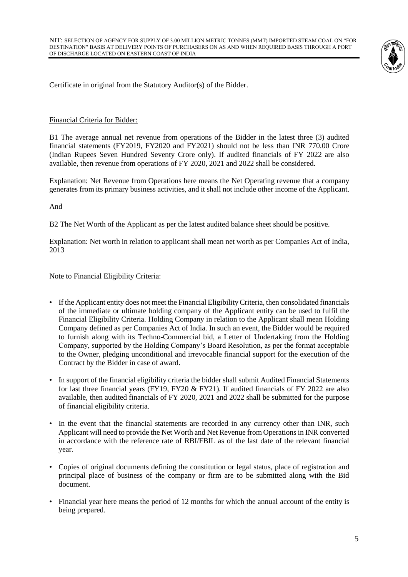

Certificate in original from the Statutory Auditor(s) of the Bidder.

#### Financial Criteria for Bidder:

B1 The average annual net revenue from operations of the Bidder in the latest three (3) audited financial statements (FY2019, FY2020 and FY2021) should not be less than INR 770.00 Crore (Indian Rupees Seven Hundred Seventy Crore only). If audited financials of FY 2022 are also available, then revenue from operations of FY 2020, 2021 and 2022 shall be considered.

Explanation: Net Revenue from Operations here means the Net Operating revenue that a company generates from its primary business activities, and it shall not include other income of the Applicant.

And

B2 The Net Worth of the Applicant as per the latest audited balance sheet should be positive.

Explanation: Net worth in relation to applicant shall mean net worth as per Companies Act of India, 2013

Note to Financial Eligibility Criteria:

- If the Applicant entity does not meet the Financial Eligibility Criteria, then consolidated financials of the immediate or ultimate holding company of the Applicant entity can be used to fulfil the Financial Eligibility Criteria. Holding Company in relation to the Applicant shall mean Holding Company defined as per Companies Act of India. In such an event, the Bidder would be required to furnish along with its Techno-Commercial bid, a Letter of Undertaking from the Holding Company, supported by the Holding Company's Board Resolution, as per the format acceptable to the Owner, pledging unconditional and irrevocable financial support for the execution of the Contract by the Bidder in case of award.
- In support of the financial eligibility criteria the bidder shall submit Audited Financial Statements for last three financial years (FY19, FY20 & FY21). If audited financials of FY 2022 are also available, then audited financials of FY 2020, 2021 and 2022 shall be submitted for the purpose of financial eligibility criteria.
- In the event that the financial statements are recorded in any currency other than INR, such Applicant will need to provide the Net Worth and Net Revenue from Operations in INR converted in accordance with the reference rate of RBI/FBIL as of the last date of the relevant financial year.
- Copies of original documents defining the constitution or legal status, place of registration and principal place of business of the company or firm are to be submitted along with the Bid document.
- Financial year here means the period of 12 months for which the annual account of the entity is being prepared.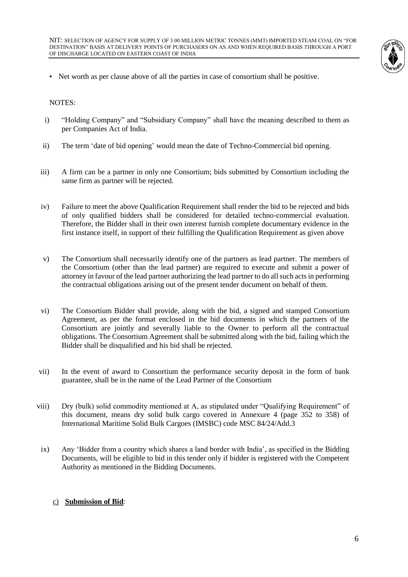

• Net worth as per clause above of all the parties in case of consortium shall be positive.

NOTES:

- i) "Holding Company" and "Subsidiary Company" shall have the meaning described to them as per Companies Act of India.
- ii) The term 'date of bid opening' would mean the date of Techno-Commercial bid opening.
- iii) A firm can be a partner in only one Consortium; bids submitted by Consortium including the same firm as partner will be rejected.
- iv) Failure to meet the above Qualification Requirement shall render the bid to be rejected and bids of only qualified bidders shall be considered for detailed techno-commercial evaluation. Therefore, the Bidder shall in their own interest furnish complete documentary evidence in the first instance itself, in support of their fulfilling the Qualification Requirement as given above
- v) The Consortium shall necessarily identify one of the partners as lead partner. The members of the Consortium (other than the lead partner) are required to execute and submit a power of attorney in favour of the lead partner authorizing the lead partner to do all such acts in performing the contractual obligations arising out of the present tender document on behalf of them.
- vi) The Consortium Bidder shall provide, along with the bid, a signed and stamped Consortium Agreement, as per the format enclosed in the bid documents in which the partners of the Consortium are jointly and severally liable to the Owner to perform all the contractual obligations. The Consortium Agreement shall be submitted along with the bid, failing which the Bidder shall be disqualified and his bid shall be rejected.
- vii) In the event of award to Consortium the performance security deposit in the form of bank guarantee, shall be in the name of the Lead Partner of the Consortium
- viii) Dry (bulk) solid commodity mentioned at A, as stipulated under "Qualifying Requirement" of this document, means dry solid bulk cargo covered in Annexure 4 (page 352 to 358) of International Maritime Solid Bulk Cargoes (IMSBC) code MSC 84/24/Add.3
- ix) Any 'Bidder from a country which shares a land border with India', as specified in the Bidding Documents, will be eligible to bid in this tender only if bidder is registered with the Competent Authority as mentioned in the Bidding Documents.

#### c) **Submission of Bid**: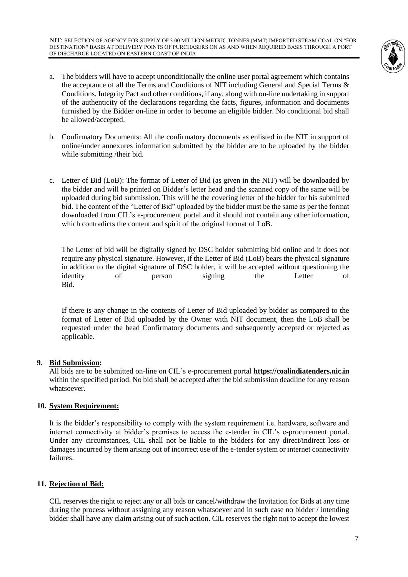NIT: SELECTION OF AGENCY FOR SUPPLY OF 3.00 MILLION METRIC TONNES (MMT) IMPORTED STEAM COAL ON "FOR DESTINATION" BASIS AT DELIVERY POINTS OF PURCHASERS ON AS AND WHEN REQUIRED BASIS THROUGH A PORT OF DISCHARGE LOCATED ON EASTERN COAST OF INDIA



- a. The bidders will have to accept unconditionally the online user portal agreement which contains the acceptance of all the Terms and Conditions of NIT including General and Special Terms & Conditions, Integrity Pact and other conditions, if any, along with on-line undertaking in support of the authenticity of the declarations regarding the facts, figures, information and documents furnished by the Bidder on-line in order to become an eligible bidder. No conditional bid shall be allowed/accepted.
- b. Confirmatory Documents: All the confirmatory documents as enlisted in the NIT in support of online/under annexures information submitted by the bidder are to be uploaded by the bidder while submitting /their bid.
- c. Letter of Bid (LoB): The format of Letter of Bid (as given in the NIT) will be downloaded by the bidder and will be printed on Bidder's letter head and the scanned copy of the same will be uploaded during bid submission. This will be the covering letter of the bidder for his submitted bid. The content of the "Letter of Bid" uploaded by the bidder must be the same as per the format downloaded from CIL's e-procurement portal and it should not contain any other information, which contradicts the content and spirit of the original format of LoB.

The Letter of bid will be digitally signed by DSC holder submitting bid online and it does not require any physical signature. However, if the Letter of Bid (LoB) bears the physical signature in addition to the digital signature of DSC holder, it will be accepted without questioning the identity of person signing the Letter of Bid.

If there is any change in the contents of Letter of Bid uploaded by bidder as compared to the format of Letter of Bid uploaded by the Owner with NIT document, then the LoB shall be requested under the head Confirmatory documents and subsequently accepted or rejected as applicable.

#### **9. Bid Submission:**

All bids are to be submitted on-line on CIL's e-procurement portal **[https://coalindiatenders.nic.in](https://coalindiatenders.nic.in/)** within the specified period. No bid shall be accepted after the bid submission deadline for any reason whatsoever.

# **10. System Requirement:**

It is the bidder's responsibility to comply with the system requirement i.e. hardware, software and internet connectivity at bidder's premises to access the e-tender in CIL's e-procurement portal. Under any circumstances, CIL shall not be liable to the bidders for any direct/indirect loss or damages incurred by them arising out of incorrect use of the e-tender system or internet connectivity failures.

# **11. Rejection of Bid:**

CIL reserves the right to reject any or all bids or cancel/withdraw the Invitation for Bids at any time during the process without assigning any reason whatsoever and in such case no bidder / intending bidder shall have any claim arising out of such action. CIL reserves the right not to accept the lowest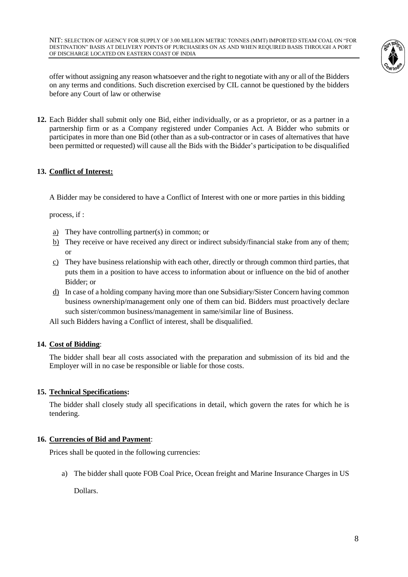

offer without assigning any reason whatsoever and the right to negotiate with any or all of the Bidders on any terms and conditions. Such discretion exercised by CIL cannot be questioned by the bidders before any Court of law or otherwise

**12.** Each Bidder shall submit only one Bid, either individually, or as a proprietor, or as a partner in a partnership firm or as a Company registered under Companies Act. A Bidder who submits or participates in more than one Bid (other than as a sub-contractor or in cases of alternatives that have been permitted or requested) will cause all the Bids with the Bidder's participation to be disqualified

# **13. Conflict of Interest:**

A Bidder may be considered to have a Conflict of Interest with one or more parties in this bidding

process, if :

- a) They have controlling partner(s) in common; or
- b) They receive or have received any direct or indirect subsidy/financial stake from any of them; or
- $c)$  They have business relationship with each other, directly or through common third parties, that puts them in a position to have access to information about or influence on the bid of another Bidder; or
- d) In case of a holding company having more than one Subsidiary/Sister Concern having common business ownership/management only one of them can bid. Bidders must proactively declare such sister/common business/management in same/similar line of Business.

All such Bidders having a Conflict of interest, shall be disqualified.

# **14. Cost of Bidding**:

The bidder shall bear all costs associated with the preparation and submission of its bid and the Employer will in no case be responsible or liable for those costs.

#### **15. Technical Specifications:**

The bidder shall closely study all specifications in detail, which govern the rates for which he is tendering.

#### **16. Currencies of Bid and Payment**:

Prices shall be quoted in the following currencies:

a) The bidder shall quote FOB Coal Price, Ocean freight and Marine Insurance Charges in US

Dollars.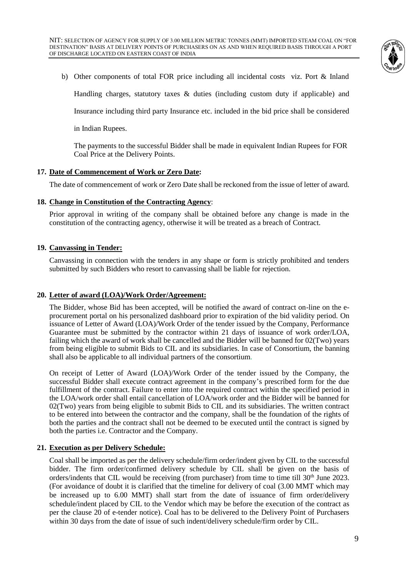

b) Other components of total FOR price including all incidental costs viz. Port & Inland Handling charges, statutory taxes & duties (including custom duty if applicable) and Insurance including third party Insurance etc. included in the bid price shall be considered

in Indian Rupees.

The payments to the successful Bidder shall be made in equivalent Indian Rupees for FOR Coal Price at the Delivery Points.

### **17. Date of Commencement of Work or Zero Date:**

The date of commencement of work or Zero Date shall be reckoned from the issue of letter of award.

#### **18. Change in Constitution of the Contracting Agency**:

Prior approval in writing of the company shall be obtained before any change is made in the constitution of the contracting agency, otherwise it will be treated as a breach of Contract.

#### **19. Canvassing in Tender:**

Canvassing in connection with the tenders in any shape or form is strictly prohibited and tenders submitted by such Bidders who resort to canvassing shall be liable for rejection.

#### **20. Letter of award (LOA)/Work Order/Agreement:**

The Bidder, whose Bid has been accepted, will be notified the award of contract on-line on the eprocurement portal on his personalized dashboard prior to expiration of the bid validity period. On issuance of Letter of Award (LOA)/Work Order of the tender issued by the Company, Performance Guarantee must be submitted by the contractor within 21 days of issuance of work order/LOA, failing which the award of work shall be cancelled and the Bidder will be banned for 02(Two) years from being eligible to submit Bids to CIL and its subsidiaries. In case of Consortium, the banning shall also be applicable to all individual partners of the consortium.

On receipt of Letter of Award (LOA)/Work Order of the tender issued by the Company, the successful Bidder shall execute contract agreement in the company's prescribed form for the due fulfillment of the contract. Failure to enter into the required contract within the specified period in the LOA/work order shall entail cancellation of LOA/work order and the Bidder will be banned for 02(Two) years from being eligible to submit Bids to CIL and its subsidiaries. The written contract to be entered into between the contractor and the company, shall be the foundation of the rights of both the parties and the contract shall not be deemed to be executed until the contract is signed by both the parties i.e. Contractor and the Company.

#### **21. Execution as per Delivery Schedule:**

Coal shall be imported as per the delivery schedule/firm order/indent given by CIL to the successful bidder. The firm order/confirmed delivery schedule by CIL shall be given on the basis of orders/indents that CIL would be receiving (from purchaser) from time to time till 30<sup>th</sup> June 2023. (For avoidance of doubt it is clarified that the timeline for delivery of coal (3.00 MMT which may be increased up to 6.00 MMT) shall start from the date of issuance of firm order/delivery schedule/indent placed by CIL to the Vendor which may be before the execution of the contract as per the clause 20 of e-tender notice). Coal has to be delivered to the Delivery Point of Purchasers within 30 days from the date of issue of such indent/delivery schedule/firm order by CIL.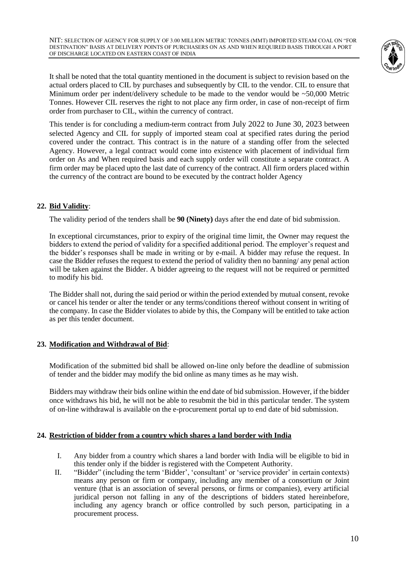

It shall be noted that the total quantity mentioned in the document is subject to revision based on the actual orders placed to CIL by purchases and subsequently by CIL to the vendor. CIL to ensure that Minimum order per indent/delivery schedule to be made to the vendor would be ~50,000 Metric Tonnes. However CIL reserves the right to not place any firm order, in case of non-receipt of firm order from purchaser to CIL, within the currency of contract.

This tender is for concluding a medium-term contract from July 2022 to June 30, 2023 between selected Agency and CIL for supply of imported steam coal at specified rates during the period covered under the contract. This contract is in the nature of a standing offer from the selected Agency. However, a legal contract would come into existence with placement of individual firm order on As and When required basis and each supply order will constitute a separate contract. A firm order may be placed upto the last date of currency of the contract. All firm orders placed within the currency of the contract are bound to be executed by the contract holder Agency

### **22. Bid Validity**:

The validity period of the tenders shall be **90 (Ninety)** days after the end date of bid submission.

In exceptional circumstances, prior to expiry of the original time limit, the Owner may request the bidders to extend the period of validity for a specified additional period. The employer's request and the bidder's responses shall be made in writing or by e-mail. A bidder may refuse the request. In case the Bidder refuses the request to extend the period of validity then no banning/ any penal action will be taken against the Bidder. A bidder agreeing to the request will not be required or permitted to modify his bid.

The Bidder shall not, during the said period or within the period extended by mutual consent, revoke or cancel his tender or alter the tender or any terms/conditions thereof without consent in writing of the company. In case the Bidder violates to abide by this, the Company will be entitled to take action as per this tender document.

#### **23. Modification and Withdrawal of Bid**:

Modification of the submitted bid shall be allowed on-line only before the deadline of submission of tender and the bidder may modify the bid online as many times as he may wish.

Bidders may withdraw their bids online within the end date of bid submission. However, if the bidder once withdraws his bid, he will not be able to resubmit the bid in this particular tender. The system of on-line withdrawal is available on the e-procurement portal up to end date of bid submission.

#### **24. Restriction of bidder from a country which shares a land border with India**

- I. Any bidder from a country which shares a land border with India will be eligible to bid in this tender only if the bidder is registered with the Competent Authority.
- II. "Bidder" (including the term 'Bidder', 'consultant' or 'service provider' in certain contexts) means any person or firm or company, including any member of a consortium or Joint venture (that is an association of several persons, or firms or companies), every artificial juridical person not falling in any of the descriptions of bidders stated hereinbefore, including any agency branch or office controlled by such person, participating in a procurement process.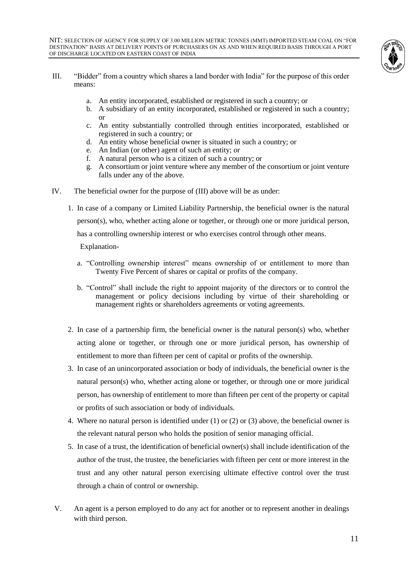

- III. "Bidder" from a country which shares a land border with India" for the purpose of this order means:
	- a. An entity incorporated, established or registered in such a country; or
	- b. A subsidiary of an entity incorporated, established or registered in such a country; or
	- c. An entity substantially controlled through entities incorporated, established or registered in such a country; or
	- d. An entity whose beneficial owner is situated in such a country; or
	- e. An Indian (or other) agent of such an entity; or
	- f. A natural person who is a citizen of such a country; or
	- g. A consortium or joint venture where any member of the consortium or joint venture falls under any of the above.
- IV. The beneficial owner for the purpose of (III) above will be as under:
	- 1. In case of a company or Limited Liability Partnership, the beneficial owner is the natural person(s), who, whether acting alone or together, or through one or more juridical person, has a controlling ownership interest or who exercises control through other means.

Explanation-

- a. "Controlling ownership interest" means ownership of or entitlement to more than Twenty Five Percent of shares or capital or profits of the company.
- b. "Control" shall include the right to appoint majority of the directors or to control the management or policy decisions including by virtue of their shareholding or management rights or shareholders agreements or voting agreements.
- 2. In case of a partnership firm, the beneficial owner is the natural person(s) who, whether acting alone or together, or through one or more juridical person, has ownership of entitlement to more than fifteen per cent of capital or profits of the ownership.
- 3. In case of an unincorporated association or body of individuals, the beneficial owner is the natural person(s) who, whether acting alone or together, or through one or more juridical person, has ownership of entitlement to more than fifteen per cent of the property or capital or profits of such association or body of individuals.
- 4. Where no natural person is identified under (1) or (2) or (3) above, the beneficial owner is the relevant natural person who holds the position of senior managing official.
- 5. In case of a trust, the identification of beneficial owner(s) shall include identification of the author of the trust, the trustee, the beneficiaries with fifteen per cent or more interest in the trust and any other natural person exercising ultimate effective control over the trust through a chain of control or ownership.
- V. An agent is a person employed to do any act for another or to represent another in dealings with third person.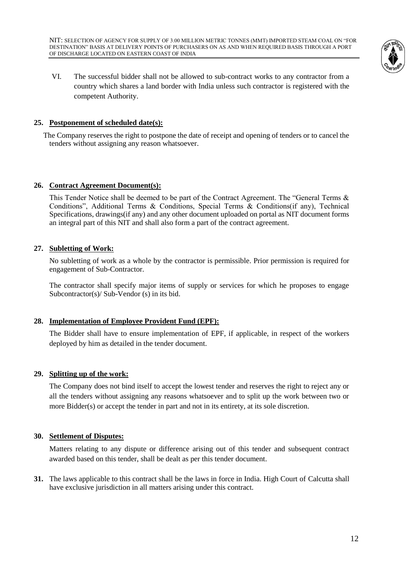

VI. The successful bidder shall not be allowed to sub-contract works to any contractor from a country which shares a land border with India unless such contractor is registered with the competent Authority.

### **25. Postponement of scheduled date(s):**

 The Company reserves the right to postpone the date of receipt and opening of tenders or to cancel the tenders without assigning any reason whatsoever.

#### **26. Contract Agreement Document(s):**

This Tender Notice shall be deemed to be part of the Contract Agreement. The "General Terms & Conditions", Additional Terms & Conditions, Special Terms & Conditions(if any), Technical Specifications, drawings(if any) and any other document uploaded on portal as NIT document forms an integral part of this NIT and shall also form a part of the contract agreement.

### **27. Subletting of Work:**

No subletting of work as a whole by the contractor is permissible. Prior permission is required for engagement of Sub-Contractor.

The contractor shall specify major items of supply or services for which he proposes to engage Subcontractor(s)/ Sub-Vendor (s) in its bid.

# **28. Implementation of Employee Provident Fund (EPF):**

The Bidder shall have to ensure implementation of EPF, if applicable, in respect of the workers deployed by him as detailed in the tender document.

# **29. Splitting up of the work:**

The Company does not bind itself to accept the lowest tender and reserves the right to reject any or all the tenders without assigning any reasons whatsoever and to split up the work between two or more Bidder(s) or accept the tender in part and not in its entirety, at its sole discretion.

#### **30. Settlement of Disputes:**

Matters relating to any dispute or difference arising out of this tender and subsequent contract awarded based on this tender, shall be dealt as per this tender document.

**31.** The laws applicable to this contract shall be the laws in force in India. High Court of Calcutta shall have exclusive jurisdiction in all matters arising under this contract.